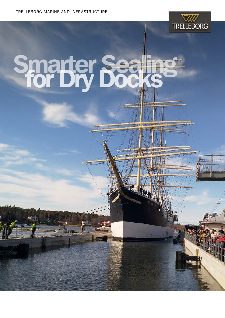

# Smarter Sea

**Terrorian** 

Tita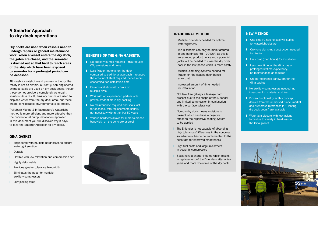# A Smarter Approach to dry dock operations

Dry docks are used when vessels need to undergo repairs or general maintenance work. When a vessel enters the dry dock, the gates are closed, and the seawater is drained out so that hard to reach areas of the ship which have been exposed to seawater for a prolonged period can be accessed.

Although a straightforward process in theory, the reality is not so simple. Currently, non-engineered extruded seals are used on dry dock doors, though these do not provide a completely watertight solution. As a result, auxiliary pumps are used to displace water from the dry dock area, but these create considerable environmental side effects.

Trelleborg Marine & Infrastructure's watertight method is more efficient and more effective than the conventional pump installation approach. In this document you will discover why it pays to take the Smarter Approach to dry docks.

- $\blacksquare$  No auxiliary pumps required this reduces CO<sub>2</sub> emissions and noise
- **I** Less fixation material on the door compared to traditional approach – reduces the amount of steel required, hence more economical for installation time
- **I** Easier installation with choice of multiple sizes
- **I** Work with an experienced partner with proven credentials in dry docking
- **I** No maintenance required and seals last for decades, with replacements usually not necessary within the first 50 years
- **I** Various hardness allows for more tolerance bandwidth on the concrete or steel

## GINA GASKET

- **■** Engineered with multiple hardnesses to ensure watertight solution
- Durable
- **I** Flexible with low relaxation and compression set
- **I** Highly deformable
- **I** Provides greater tolerance bandwidth
- **I** Eliminates the need for multiple auxiliary compressors
- **I** Low jacking force



# BENEFITS OF THE GINA GASKETS:

- **■** Multiple D-fenders needed for optimal water tightness
- **■** The D-fenders can only be manufactured in one hardness (65 - 70°ShA) as this is an extruded product hence extra powerful jacks will be needed to close the dry dock door in the last phase which is more costly
- **■** Multiple clamping systems needed for fixation on the floating door, hence extra cost
- **I** Increased amount of time needed for installation
- Not leak free (always a leakage path present due to the shape of the D-fender and limited compression in conjunction with the surface tolerances)
- **Non-dry dry dock means moisture is** present which can have a negative effect on the expensive coating system to be applied
- **■** The D-fender is not capable of absorbing high tolerances/differences in the concrete so extra work has to be implemented to the substrate for improved smoothness
- High fuel costs and large investment in powerful compressors
- Seals have a shorter lifetime which results in replacement of the D-fenders after a few years and more downtime of the dry dock
- One small Gina/one seal will suffice for watertight closure
- Only one clamping construction needed for fixation
- **I** Less cost (man hours) for installation
- Less downtime as the Gina has a prolonged lifetime expectancy, no maintenance as required
- Greater tolerance bandwidth for the Gina gasket
- **I** No auxiliary compressors needed, no investment in material and fuel
- Proven functionality as this concept derives from the immersed tunnel market and numerous references in "Floating dry dock doors" are available
- **I** Watertight closure with low jacking force due to variety in hardness in the Gina gasket



### TRADITIONAL METHOD

### NEW METHOD